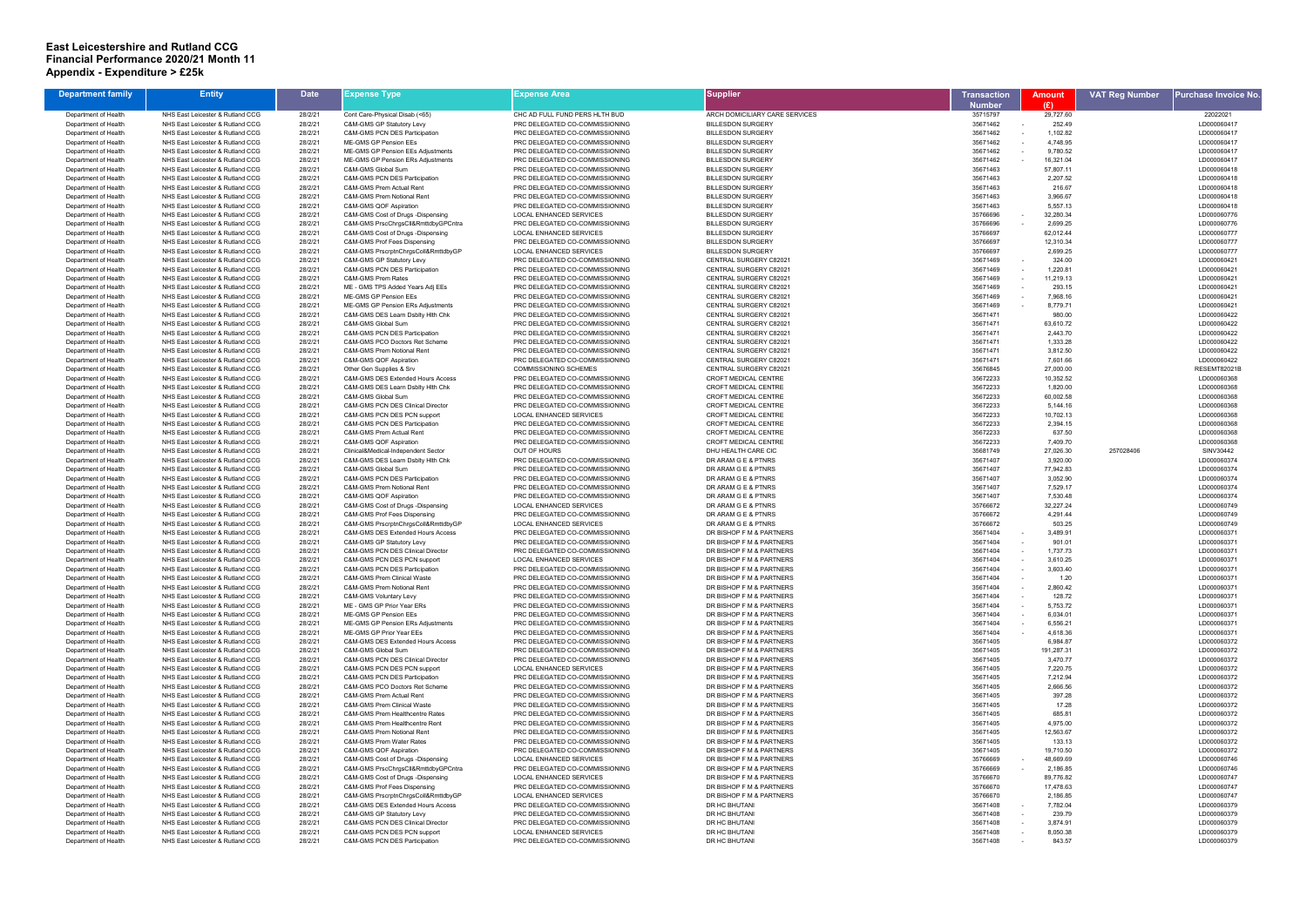## **East Leicestershire and Rutland CCG Financial Performance 2020/21 Month 11 Appendix - Expenditure > £25k**

| <b>Department family</b>                     | <b>Entity</b>                                                        | <b>Date</b>        | Expense Type                                                  | <b>Expense Area</b>                                              | <b>Supplier</b>                                                | <b>Transaction</b>   | <b>Amount</b>         | <b>VAT Reg Number</b> | Purchase Invoice No        |
|----------------------------------------------|----------------------------------------------------------------------|--------------------|---------------------------------------------------------------|------------------------------------------------------------------|----------------------------------------------------------------|----------------------|-----------------------|-----------------------|----------------------------|
|                                              |                                                                      |                    |                                                               |                                                                  |                                                                | <b>Number</b>        | (E)                   |                       |                            |
| Department of Health                         | NHS East Leicester & Rutland CCG                                     | 28/2/21            | Cont Care-Physical Disab (<65)                                | CHC AD FULL FUND PERS HLTH BUD                                   | ARCH DOMICILIARY CARE SERVICES                                 | 35715797             | 29,727.60             |                       | 22022021                   |
| Department of Health                         | NHS East Leicester & Rutland CCG                                     | 28/2/21            | C&M-GMS GP Statutory Levy                                     | PRC DELEGATED CO-COMMISSIONING                                   | <b>BILLESDON SURGERY</b>                                       | 35671462             | 252.49                |                       | LD000060417                |
| Department of Health                         | NHS East Leicester & Rutland CCG                                     | 28/2/21            | <b>C&amp;M-GMS PCN DES Participation</b>                      | PRC DELEGATED CO-COMMISSIONING                                   | <b>BILLESDON SURGERY</b>                                       | 35671462             | 1,102.82              |                       | LD000060417                |
| Department of Health                         | NHS East Leicester & Rutland CCG                                     | 28/2/21            | ME-GMS GP Pension EEs                                         | PRC DELEGATED CO-COMMISSIONING                                   | <b>BILLESDON SURGERY</b>                                       | 35671462             | 4,748.95              |                       | LD000060417                |
| Department of Health                         | NHS East Leicester & Rutland CCG                                     | 28/2/21            | ME-GMS GP Pension EEs Adjustments                             | PRC DELEGATED CO-COMMISSIONING                                   | <b>BILLESDON SURGERY</b>                                       | 35671462             | 9,780.52              |                       | LD000060417                |
| Department of Health                         | NHS East Leicester & Rutland CCG                                     | 28/2/21            | ME-GMS GP Pension ERs Adjustments                             | PRC DELEGATED CO-COMMISSIONING                                   | <b>BILLESDON SURGERY</b>                                       | 35671462             | 16,321.04             |                       | LD000060417                |
| Department of Health<br>Department of Health | NHS East Leicester & Rutland CCG<br>NHS East Leicester & Rutland CCG | 28/2/21<br>28/2/21 | C&M-GMS Global Sum<br>C&M-GMS PCN DES Participation           | PRC DELEGATED CO-COMMISSIONING<br>PRC DELEGATED CO-COMMISSIONING | <b>BILLESDON SURGERY</b><br><b>BILLESDON SURGERY</b>           | 35671463<br>35671463 | 57,807.11<br>2,207.52 |                       | LD000060418<br>LD000060418 |
| Department of Health                         | NHS East Leicester & Rutland CCG                                     | 28/2/21            | C&M-GMS Prem Actual Rent                                      | PRC DELEGATED CO-COMMISSIONING                                   | <b>BILLESDON SURGERY</b>                                       | 35671463             | 216.67                |                       | LD000060418                |
| Department of Health                         | NHS East Leicester & Rutland CCG                                     | 28/2/21            | C&M-GMS Prem Notional Rent                                    | PRC DELEGATED CO-COMMISSIONING                                   | <b>BILLESDON SURGERY</b>                                       | 35671463             | 3,966.67              |                       | LD000060418                |
| Department of Health                         | NHS East Leicester & Rutland CCG                                     | 28/2/21            | C&M-GMS QOF Aspiration                                        | PRC DELEGATED CO-COMMISSIONING                                   | <b>BILLESDON SURGERY</b>                                       | 35671463             | 5,557.13              |                       | LD000060418                |
| Department of Health                         | NHS East Leicester & Rutland CCG                                     | 28/2/21            | C&M-GMS Cost of Drugs -Dispensing                             | <b>LOCAL ENHANCED SERVICES</b>                                   | <b>BILLESDON SURGERY</b>                                       | 35766696             | 32,280.34             |                       | LD000060776                |
| Department of Health                         | NHS East Leicester & Rutland CCG                                     | 28/2/21            | C&M-GMS PrscChrgsCll&RmttdbyGPCntra                           | PRC DELEGATED CO-COMMISSIONING                                   | <b>BILLESDON SURGERY</b>                                       | 35766696             | 2,699.25              |                       | LD000060776                |
| Department of Health                         | NHS East Leicester & Rutland CCG                                     | 28/2/21            | C&M-GMS Cost of Drugs -Dispensing                             | <b>LOCAL ENHANCED SERVICES</b>                                   | <b>BILLESDON SURGERY</b>                                       | 35766697             | 62,012.44             |                       | LD000060777                |
| Department of Health                         | NHS East Leicester & Rutland CCG                                     | 28/2/21            | C&M-GMS Prof Fees Dispensing                                  | PRC DELEGATED CO-COMMISSIONING                                   | <b>BILLESDON SURGERY</b>                                       | 35766697             | 12,310.34             |                       | LD000060777                |
| Department of Health                         | NHS East Leicester & Rutland CCG                                     | 28/2/21            | C&M-GMS PrscrptnChrgsColl&RmttdbyGP                           | LOCAL ENHANCED SERVICES                                          | <b>BILLESDON SURGERY</b>                                       | 35766697             | 2,699.25              |                       | LD000060777                |
| Department of Health                         | NHS East Leicester & Rutland CCG                                     | 28/2/21            | C&M-GMS GP Statutory Levy                                     | PRC DELEGATED CO-COMMISSIONING                                   | <b>CENTRAL SURGERY C82021</b>                                  | 35671469             | 324.00                |                       | LD000060421                |
| Department of Health                         | NHS East Leicester & Rutland CCG                                     | 28/2/21            | <b>C&amp;M-GMS PCN DES Participation</b>                      | PRC DELEGATED CO-COMMISSIONING                                   | CENTRAL SURGERY C82021                                         | 35671469             | 1,220.81              |                       | LD000060421                |
| Department of Health                         | NHS East Leicester & Rutland CCG                                     | 28/2/2'            | C&M-GMS Prem Rates                                            | PRC DELEGATED CO-COMMISSIONING                                   | CENTRAL SURGERY C82021                                         | 35671469             | 11,219.13             |                       | LD000060421                |
| Department of Health                         | NHS East Leicester & Rutland CCG                                     | 28/2/21            | ME - GMS TPS Added Years Adj EEs                              | PRC DELEGATED CO-COMMISSIONING                                   | CENTRAL SURGERY C82021                                         | 35671469             | 293.15                |                       | LD000060421                |
| Department of Health                         | NHS East Leicester & Rutland CCG<br>NHS East Leicester & Rutland CCG | 28/2/21<br>28/2/21 | ME-GMS GP Pension EEs<br>ME-GMS GP Pension ERs Adjustments    | PRC DELEGATED CO-COMMISSIONING                                   | <b>CENTRAL SURGERY C82021</b><br><b>CENTRAL SURGERY C82021</b> | 35671469<br>35671469 | 7,968.16<br>8,779.71  |                       | LD000060421<br>LD000060421 |
| Department of Health<br>Department of Health | NHS East Leicester & Rutland CCG                                     | 28/2/21            | C&M-GMS DES Learn Dsblty Hlth Chk                             | PRC DELEGATED CO-COMMISSIONING<br>PRC DELEGATED CO-COMMISSIONING | CENTRAL SURGERY C82021                                         | 35671471             | 980.00                |                       | LD000060422                |
| Department of Health                         | NHS East Leicester & Rutland CCG                                     | 28/2/21            | C&M-GMS Global Sum                                            | PRC DELEGATED CO-COMMISSIONING                                   | CENTRAL SURGERY C82021                                         | 35671471             | 63,610.72             |                       | LD000060422                |
| Department of Health                         | NHS East Leicester & Rutland CCG                                     | 28/2/21            | C&M-GMS PCN DES Participation                                 | PRC DELEGATED CO-COMMISSIONING                                   | <b>CENTRAL SURGERY C82021</b>                                  | 35671471             | 2,443.70              |                       | LD000060422                |
| Department of Health                         | NHS East Leicester & Rutland CCG                                     | 28/2/21            | C&M-GMS PCO Doctors Ret Scheme                                | PRC DELEGATED CO-COMMISSIONING                                   | CENTRAL SURGERY C82021                                         | 35671471             | 1,333.28              |                       | LD000060422                |
| Department of Health                         | NHS East Leicester & Rutland CCG                                     | 28/2/21            | C&M-GMS Prem Notional Rent                                    | PRC DELEGATED CO-COMMISSIONING                                   | CENTRAL SURGERY C82021                                         | 35671471             | 3,812.50              |                       | LD000060422                |
| Department of Health                         | NHS East Leicester & Rutland CCG                                     | 28/2/21            | C&M-GMS QOF Aspiration                                        | PRC DELEGATED CO-COMMISSIONING                                   | CENTRAL SURGERY C82021                                         | 35671471             | 7,601.66              |                       | LD000060422                |
| Department of Health                         | NHS East Leicester & Rutland CCG                                     | 28/2/21            | Other Gen Supplies & Srv                                      | <b>COMMISSIONING SCHEMES</b>                                     | CENTRAL SURGERY C82021                                         | 35676845             | 27,000.00             |                       | RESEMT82021B               |
| Department of Health                         | NHS East Leicester & Rutland CCG                                     | 28/2/21            | C&M-GMS DES Extended Hours Access                             | PRC DELEGATED CO-COMMISSIONING                                   | <b>CROFT MEDICAL CENTRE</b>                                    | 35672233             | 10,352.52             |                       | LD000060368                |
| Department of Health                         | NHS East Leicester & Rutland CCG                                     | 28/2/21            | C&M-GMS DES Learn Dsblty Hlth Chk                             | PRC DELEGATED CO-COMMISSIONING                                   | CROFT MEDICAL CENTRE                                           | 35672233             | 1,820.00              |                       | LD000060368                |
| Department of Health                         | NHS East Leicester & Rutland CCG                                     | 28/2/21            | C&M-GMS Global Sum                                            | PRC DELEGATED CO-COMMISSIONING                                   | CROFT MEDICAL CENTRE                                           | 35672233             | 60,002.58             |                       | LD000060368                |
| Department of Health                         | NHS East Leicester & Rutland CCG                                     | 28/2/21            | <b>C&amp;M-GMS PCN DES Clinical Director</b>                  | PRC DELEGATED CO-COMMISSIONING                                   | <b>CROFT MEDICAL CENTRE</b>                                    | 35672233             | 5,144.16              |                       | LD000060368                |
| Department of Health                         | NHS East Leicester & Rutland CCG                                     | 28/2/21            | C&M-GMS PCN DES PCN support                                   | LOCAL ENHANCED SERVICES                                          | CROFT MEDICAL CENTRE                                           | 35672233             | 10,702.13             |                       | LD000060368                |
| Department of Health                         | NHS East Leicester & Rutland CCG                                     | 28/2/21            | C&M-GMS PCN DES Participation                                 | PRC DELEGATED CO-COMMISSIONING                                   | CROFT MEDICAL CENTRE                                           | 35672233             | 2,394.15              |                       | LD000060368                |
| Department of Health                         | NHS East Leicester & Rutland CCG                                     | 28/2/21            | C&M-GMS Prem Actual Rent                                      | PRC DELEGATED CO-COMMISSIONING                                   | CROFT MEDICAL CENTRE                                           | 35672233             | 637.50                |                       | LD000060368                |
| Department of Health<br>Department of Health | NHS East Leicester & Rutland CCG<br>NHS East Leicester & Rutland CCG | 28/2/21<br>28/2/21 | C&M-GMS QOF Aspiration<br>Clinical&Medical-Independent Sector | PRC DELEGATED CO-COMMISSIONING<br><b>OUT OF HOURS</b>            | CROFT MEDICAL CENTRE<br>DHU HEALTH CARE CIC                    | 35672233<br>35681749 | 7,409.70<br>27,026.30 | 257028406             | LD000060368<br>SINV30442   |
| Department of Health                         | NHS East Leicester & Rutland CCG                                     | 28/2/21            | C&M-GMS DES Learn Dsblty Hith Chk                             | PRC DELEGATED CO-COMMISSIONING                                   | DR ARAM G E & PTNRS                                            | 35671407             | 3,920.00              |                       | LD000060374                |
| Department of Health                         | NHS East Leicester & Rutland CCG                                     | 28/2/21            | C&M-GMS Global Sum                                            | PRC DELEGATED CO-COMMISSIONING                                   | DR ARAM G E & PTNRS                                            | 35671407             | 77,942.83             |                       | LD000060374                |
| Department of Health                         | NHS East Leicester & Rutland CCG                                     | 28/2/21            | C&M-GMS PCN DES Participation                                 | PRC DELEGATED CO-COMMISSIONING                                   | DR ARAM G E & PTNRS                                            | 35671407             | 3,052.90              |                       | LD000060374                |
| Department of Health                         | NHS East Leicester & Rutland CCG                                     | 28/2/21            | C&M-GMS Prem Notional Rent                                    | PRC DELEGATED CO-COMMISSIONING                                   | DR ARAM G E & PTNRS                                            | 35671407             | 7,529.17              |                       | LD000060374                |
| Department of Health                         | NHS East Leicester & Rutland CCG                                     | 28/2/21            | C&M-GMS QOF Aspiration                                        | PRC DELEGATED CO-COMMISSIONING                                   | DR ARAM G E & PTNRS                                            | 35671407             | 7,530.48              |                       | LD000060374                |
| Department of Health                         | NHS East Leicester & Rutland CCG                                     | 28/2/21            | C&M-GMS Cost of Drugs -Dispensing                             | LOCAL ENHANCED SERVICES                                          | DR ARAM G E & PTNRS                                            | 35766672             | 32,227.24             |                       | LD000060749                |
| Department of Health                         | NHS East Leicester & Rutland CCG                                     | 28/2/21            | C&M-GMS Prof Fees Dispensing                                  | PRC DELEGATED CO-COMMISSIONING                                   | DR ARAM G E & PTNRS                                            | 35766672             | 4,291.44              |                       | LD000060749                |
| Department of Health                         | NHS East Leicester & Rutland CCG                                     | 28/2/21            | C&M-GMS PrscrptnChrgsColl&RmttdbyGP                           | <b>LOCAL ENHANCED SERVICES</b>                                   | DR ARAM G E & PTNRS                                            | 35766672             | 503.25                |                       | LD000060749                |
| Department of Health                         | NHS East Leicester & Rutland CCG                                     | 28/2/21            | C&M-GMS DES Extended Hours Access                             | PRC DELEGATED CO-COMMISSIONING                                   | DR BISHOP F M & PARTNERS                                       | 35671404             | 3,489.91              |                       | LD000060371                |
| Department of Health                         | NHS East Leicester & Rutland CCG                                     | 28/2/2             | C&M-GMS GP Statutory Levy                                     | PRC DELEGATED CO-COMMISSIONING                                   | DR BISHOP F M & PARTNERS                                       | 35671404             | 901.01                |                       | LD000060371                |
| Department of Health                         | NHS East Leicester & Rutland CCG                                     | 28/2/21            | C&M-GMS PCN DES Clinical Director                             | PRC DELEGATED CO-COMMISSIONING                                   | DR BISHOP F M & PARTNERS                                       | 35671404             | 1,737.73              |                       | LD000060371                |
| Department of Health                         | NHS East Leicester & Rutland CCG                                     | 28/2/21            | C&M-GMS PCN DES PCN support                                   | <b>LOCAL ENHANCED SERVICES</b>                                   | DR BISHOP F M & PARTNERS                                       | 35671404             | 3,610.25              |                       | LD000060371                |
| Department of Health                         | NHS East Leicester & Rutland CCG                                     | 28/2/21            | C&M-GMS PCN DES Participation                                 | PRC DELEGATED CO-COMMISSIONING                                   | DR BISHOP F M & PARTNERS                                       | 35671404             | 3,603.40              |                       | LD000060371                |
| Department of Health                         | NHS East Leicester & Rutland CCG                                     | 28/2/21            | C&M-GMS Prem Clinical Waste                                   | PRC DELEGATED CO-COMMISSIONING                                   | DR BISHOP F M & PARTNERS                                       | 35671404             | 1.20                  |                       | LD000060371                |
| Department of Health                         | NHS East Leicester & Rutland CCG                                     | 28/2/21            | C&M-GMS Prem Notional Rent                                    | PRC DELEGATED CO-COMMISSIONING                                   | DR BISHOP F M & PARTNERS                                       | 35671404             | 2,860.42              |                       | LD000060371                |
| Department of Health                         | NHS East Leicester & Rutland CCG                                     | 28/2/21            | C&M-GMS Voluntary Levy                                        | PRC DELEGATED CO-COMMISSIONING                                   | DR BISHOP F M & PARTNERS<br>DR BISHOP F M & PARTNERS           | 35671404<br>35671404 | 128.72                |                       | LD000060371                |
| Department of Health<br>Department of Health | NHS East Leicester & Rutland CCG<br>NHS East Leicester & Rutland CCG | 28/2/21<br>28/2/2' | ME - GMS GP Prior Year ERs<br>ME-GMS GP Pension EEs           | PRC DELEGATED CO-COMMISSIONING<br>PRC DELEGATED CO-COMMISSIONING | DR BISHOP F M & PARTNERS                                       | 35671404             | 5,753.72<br>6,034.01  |                       | LD000060371<br>LD000060371 |
| Department of Health                         | NHS East Leicester & Rutland CCG                                     | 28/2/21            | ME-GMS GP Pension ERs Adjustments                             | PRC DELEGATED CO-COMMISSIONING                                   | DR BISHOP F M & PARTNERS                                       | 35671404             | 6,556.21              |                       | LD000060371                |
| Department of Health                         | NHS East Leicester & Rutland CCG                                     | 28/2/21            | ME-GMS GP Prior Year EEs                                      | PRC DELEGATED CO-COMMISSIONING                                   | DR BISHOP F M & PARTNERS                                       | 35671404             | 4,618.36              |                       | LD000060371                |
| Department of Health                         | NHS East Leicester & Rutland CCG                                     | 28/2/21            | C&M-GMS DES Extended Hours Access                             | PRC DELEGATED CO-COMMISSIONING                                   | DR BISHOP F M & PARTNERS                                       | 35671405             | 6,984.87              |                       | LD000060372                |
| Department of Health                         | NHS East Leicester & Rutland CCG                                     | 28/2/21            | C&M-GMS Global Sum                                            | PRC DELEGATED CO-COMMISSIONING                                   | DR BISHOP F M & PARTNERS                                       | 35671405             | 191,287.31            |                       | LD000060372                |
| Department of Health                         | NHS East Leicester & Rutland CCG                                     | 28/2/21            | C&M-GMS PCN DES Clinical Director                             | PRC DELEGATED CO-COMMISSIONING                                   | DR BISHOP F M & PARTNERS                                       | 35671405             | 3,470.77              |                       | LD000060372                |
| Department of Health                         | NHS East Leicester & Rutland CCG                                     | 28/2/21            | C&M-GMS PCN DES PCN support                                   | <b>LOCAL ENHANCED SERVICES</b>                                   | DR BISHOP F M & PARTNERS                                       | 35671405             | 7,220.75              |                       | LD000060372                |
| Department of Health                         | NHS East Leicester & Rutland CCG                                     | 28/2/21            | C&M-GMS PCN DES Participation                                 | PRC DELEGATED CO-COMMISSIONING                                   | DR BISHOP F M & PARTNERS                                       | 35671405             | 7,212.94              |                       | LD000060372                |
| Department of Health                         | NHS East Leicester & Rutland CCG                                     | 28/2/21            | C&M-GMS PCO Doctors Ret Scheme                                | PRC DELEGATED CO-COMMISSIONING                                   | DR BISHOP F M & PARTNERS                                       | 35671405             | 2,666.56              |                       | LD000060372                |
| Department of Health                         | NHS East Leicester & Rutland CCG                                     | 28/2/21            | C&M-GMS Prem Actual Rent                                      | PRC DELEGATED CO-COMMISSIONING                                   | DR BISHOP F M & PARTNERS                                       | 35671405             | 397.28                |                       | LD000060372                |
| Department of Health                         | NHS East Leicester & Rutland CCG                                     | 28/2/21            | C&M-GMS Prem Clinical Waste                                   | PRC DELEGATED CO-COMMISSIONING                                   | DR BISHOP F M & PARTNERS                                       | 35671405             | 17.28                 |                       | LD000060372                |
| Department of Health                         | NHS East Leicester & Rutland CCG                                     | 28/2/21            | C&M-GMS Prem Healthcentre Rates                               | PRC DELEGATED CO-COMMISSIONING                                   | DR BISHOP F M & PARTNERS                                       | 35671405             | 685.81                |                       | LD000060372                |
| Department of Health                         | NHS East Leicester & Rutland CCG                                     | 28/2/21            | C&M-GMS Prem Healthcentre Rent                                | PRC DELEGATED CO-COMMISSIONING                                   | DR BISHOP F M & PARTNERS                                       | 35671405             | 4,975.00              |                       | LD000060372                |
| Department of Health                         | NHS East Leicester & Rutland CCG<br>NHS East Leicester & Rutland CCG | 28/2/21<br>28/2/21 | C&M-GMS Prem Notional Rent<br>C&M-GMS Prem Water Rates        | PRC DELEGATED CO-COMMISSIONING<br>PRC DELEGATED CO-COMMISSIONING | DR BISHOP F M & PARTNERS<br>DR BISHOP F M & PARTNERS           | 35671405<br>35671405 | 12,563.67<br>133.13   |                       | LD000060372<br>LD000060372 |
| Department of Health<br>Department of Health | NHS East Leicester & Rutland CCG                                     | 28/2/21            | C&M-GMS QOF Aspiration                                        | PRC DELEGATED CO-COMMISSIONING                                   | DR BISHOP F M & PARTNERS                                       | 35671405             | 19,710.50             |                       | LD000060372                |
| Department of Health                         | NHS East Leicester & Rutland CCG                                     | 28/2/21            | C&M-GMS Cost of Drugs -Dispensing                             | LOCAL ENHANCED SERVICES                                          | DR BISHOP F M & PARTNERS                                       | 35766669             | 48,669.69             |                       | LD000060746                |
| Department of Health                         | NHS East Leicester & Rutland CCG                                     | 28/2/21            | C&M-GMS PrscChrgsCll&RmttdbyGPCntra                           | PRC DELEGATED CO-COMMISSIONING                                   | DR BISHOP F M & PARTNERS                                       | 35766669             | 2,186.85              |                       | LD000060746                |
| Department of Health                         | NHS East Leicester & Rutland CCG                                     | 28/2/21            | C&M-GMS Cost of Drugs -Dispensing                             | <b>LOCAL ENHANCED SERVICES</b>                                   | DR BISHOP F M & PARTNERS                                       | 35766670             | 89,776.82             |                       | LD000060747                |
| Department of Health                         | NHS East Leicester & Rutland CCG                                     | 28/2/21            | C&M-GMS Prof Fees Dispensing                                  | PRC DELEGATED CO-COMMISSIONING                                   | DR BISHOP F M & PARTNERS                                       | 35766670             | 17,478.63             |                       | LD000060747                |
| Department of Health                         | NHS East Leicester & Rutland CCG                                     | 28/2/21            | C&M-GMS PrscrptnChrgsColl&RmttdbyGP                           | LOCAL ENHANCED SERVICES                                          | DR BISHOP F M & PARTNERS                                       | 35766670             | 2,186.85              |                       | LD000060747                |
| Department of Health                         | NHS East Leicester & Rutland CCG                                     | 28/2/21            | C&M-GMS DES Extended Hours Access                             | PRC DELEGATED CO-COMMISSIONING                                   | DR HC BHUTANI                                                  | 35671408             | 7,782.04              |                       | LD000060379                |
| Department of Health                         | NHS East Leicester & Rutland CCG                                     | 28/2/21            | C&M-GMS GP Statutory Levy                                     | PRC DELEGATED CO-COMMISSIONING                                   | DR HC BHUTANI                                                  | 35671408             | 239.79                |                       | LD000060379                |
| Department of Health                         | NHS East Leicester & Rutland CCG                                     | 28/2/21            | C&M-GMS PCN DES Clinical Director                             | PRC DELEGATED CO-COMMISSIONING                                   | DR HC BHUTANI                                                  | 35671408             | 3,874.91              |                       | LD000060379                |
| Department of Health                         | NHS East Leicester & Rutland CCG                                     | 28/2/21            | C&M-GMS PCN DES PCN support                                   | <b>LOCAL ENHANCED SERVICES</b>                                   | DR HC BHUTANI                                                  | 35671408             | 8,050.38              |                       | LD000060379                |
| Department of Health                         | NHS East Leicester & Rutland CCG                                     | 28/2/21            | C&M-GMS PCN DES Participation                                 | PRC DELEGATED CO-COMMISSIONING                                   | DR HC BHUTANI                                                  | 35671408             | 843.57                |                       | LD000060379                |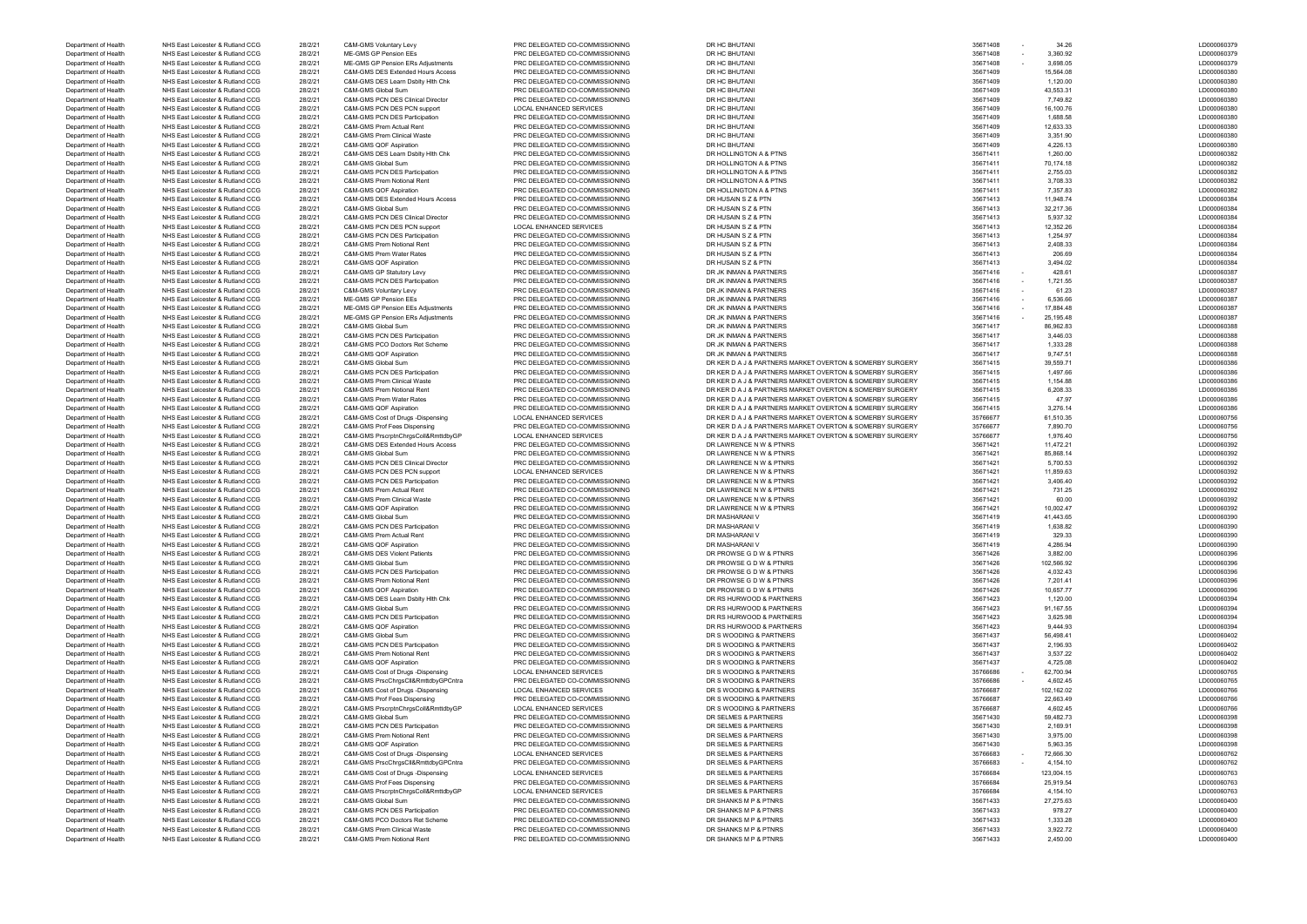Department of Health NHS East Leicester & Rutland CCG 28/2/21 C&M-GMS Prem Notional Rent PRC DELEGATED CO-COMMISSIONING DR SHANKS M P & PTNRS 35671433 2,450.00 2,450.00 2,450.00 LD000060400

Department of Health NHS East Leicester & Rutland CCG 28/2/21 C&M-GMS Voluntary Levy PRC DELEGATED CO-COMMISSIONING DR HC BHUTANI 35671408 - 34.26 LD000060379 Department of Health NHS East Leicester & Rutland CCG 28/2/21 ME-GMS GP Pension EEs PRC DELEGATED CO-COMMISSIONING DR HC BHUTANI DR 2012 2012 35671408 - 3,360.92 LD000060379 LD000060379 Department of Health NHS East Leicester & Rutland CCG 28/2/21 ME-GMS GP Pension ERs Adjustments PRC DELEGATED CO-COMMISSIONING DR HC BHUTANI DR 2012 DR 2012 DR 2012 DR 2012 DR 2012 DR 2012 DR 3.698.05 LD000060379 Department of Health NHS East Leicester & Rutland CCG 28/2/21 C&M-GMS DES Extended Hours Access PRC DELEGATED CO-COMMISSIONING DR HC BHUTANI 2011 2012 2013 2013 2013 2014 2012 2013 2012 2013 2014 2013 2014 2014 2014 2014 2 Department of Health NHS East Leicester & Rutland CCG 28/2/21 C&M-GMS DES Learn Dsblty Hlth Chk PRC DELEGATED CO-COMMISSIONING DR HC BHUTANI DR 2010 28:071409 35671409 1,120.00 1,120.00 LD000060380 Department of Health NHS East Leicester & Rutland CCG 28/2/21 C&M-GMS Global Sum PRC DELEGATED CO-COMMISSIONING DR HC BHUTANI DR 2010 2010 10000000380 28671409 43,553.31 20000000380 28/2021 DR 35671409 43,553.31 LD00006038 Department of Health NHS East Leicester & Rutland CCG 28/2/21 C&M-GMS PCN DES Clinical Director PRC DELEGATED CO-COMMISSIONING DR HC BHUTANI 35671409 7,749.82 LD000060380 Department of Health NHS East Leicester & Rutland CCG 28/2/21 C&M-GMS PCN DES PCN support LOCAL ENHANCED SERVICES DR HC BHUTANI 35671409 16,100.76 LD000060380 Department of Health NHS East Leicester & Rutland CCG 28/2/21 C&M-GMS PCN DES Participation PRC DELEGATED CO-COMMISSIONING DR HC BHUTANI 2011 2012 2013 2013 2013 2014 2012 2013 2014 2012 2012 2013 2014 2012 2013 2014 2014 Department of Health NHS East Leicester & Rutland CCG 28/2/21 C&M-GMS Prem Actual Rent PRC DELEGATED CO-COMMISSIONING DR HC BHUTANI 2.633.33 35671409 12,633.33 2012 2.0000060380 LD000060380 Department of Health NHS East Leicester & Rutland CCG 28/2/21 C&M-GMS Prem Clinical Waste PRC DELEGATED CO-COMMISSIONING DR HC BHUTANI 2011 2012 2013 35671409 3,351.90 3,351.90 LD000060380 Department of Health NHS East Leicester & Rutland CCG 28/2/21 C&M-GMS QOF Aspiration PRC DELEGATED CO-COMMISSIONING DR HC BHUTANI 35671409 4,226.13 LD000060380 Department of Health NHS East Leicester & Rutland CCG 28/2/21 C&M-GMS DES Learn Dsblty Hlth Chk PRC DELEGATED CO-COMMISSIONING DR HOLLINGTON A & PTNS 35671411 35671411 1,260.00 1,260.00 LD000060382 Department of Health NHS East Leicester & Rutland CCG 28/2/21 C&M-GMS Global Sum PRC DELEGATED CO-COMMISSIONING DR HOLLINGTON A & PTNS 35671411 70,174.18 LD000060382 Department of Health NHS East Leicester & Rutland CCG 28/2/21 C&M-GMS PCN DES Participation PRC DELEGATED CO-COMMISSIONING DR HOLLINGTON A & PTNS 35671411 2,755.03 LD000060382 Department of Health NHS East Leicester & Rutland CCG 28/2/21 C&M-GMS Prem Notional Rent PRC DELEGATED CO-COMMISSIONING DR HOLLINGTON A & PTNS 35671411 3,708.33 35671411 3,708.33 LD000060382 Department of Health NHS East Leicester & Rutland CCG 28/2/21 C&M-GMS QOF Aspiration PRC DELEGATED CO-COMMISSIONING DR HOLLINGTON A & PTNS 35671411 7,357.83 25671411 7,357.83 LD000060382 Department of Health NHS East Leicester & Rutland CCG 28/2/21 C&M-GMS DES Extended Hours Access PRC DELEGATED CO-COMMISSIONING DR HUSAIN S Z & PTN 35671413 35671413 11,948.74 11,948.74 LD000060384 Department of Health NHS East Leicester & Rutland CCG 28/2/21 C&M-GMS Global Sum PRC DELEGATED CO-COMMISSIONING DR HUSAIN S Z & PTN 35671413 32,217.36 32,217.36 LD000060384 Department of Health NHS East Leicester & Rutland CCG 28/2/21 C&M-GMS PCN DES Clinical Director PRC DELEGATED CO-COMMISSIONING DR HUSAIN S Z & PTN 35671413 35671413 5,937.32 LD000060384 Department of Health NHS East Leicester & Rutland CCG 28/2/21 C&M-GMS PCN DES PCN support LOCAL ENHANCED SERVICES DR HUSAIN S Z & PTN 35671413 35671413 12,352.26 13,352.26 LD000060384 Department of Health NHS East Leicester & Rutland CCG 28/2/21 C&M-GMS PCN DES Participation PRC DELEGATED CO-COMMISSIONING DR HUSAIN S Z & PTN 35671413 35671413 1,254.97 1,254.97 LD000060384 Department of Health NHS East Leicester & Rutland CCG 28/2/21 C&M-GMS Prem Notional Rent PRC DELEGATED CO-COMMISSIONING DR HUSAIN S Z & PTN 35671413 2,408.33 2,408.33 LD000060384 Department of Health NHS East Leicester & Rutland CCG 28/2/21 C&M-GMS Prem Water Rates PRC DELEGATED CO-COMMISSIONING DR HUSAIN S Z & PTN 35671413 206.69 206.69 LD000060384 Department of Health NHS East Leicester & Rutland CCG 28/2/21 C&M-GMS QOF Aspiration PRC DELEGATED CO-COMMISSIONING DR HUSAIN S Z & PTN 35671413 35671413 3,494.02 LD000060384 Department of Health NHS East Leicester & Rutland CCG 28/2/21 C&M-GMS GP Statutory Levy PRC DELEGATED CO-COMMISSIONING DR JK INMAN & PARTNERS 35671416 - 428.61 28.61 2000060387 Department of Health NHS East Leicester & Rutland CCG 28/2/21 C&M-GMS PCN DES Participation PRC DELEGATED CO-COMMISSIONING DR JK INMAN & PARTNERS 35671416 - 1,721.55 1990060387 LD000060387 Department of Health NHS East Leicester & Rutland CCG 28/2/21 C&M-GMS Voluntary Levy PRC DELEGATED CO-COMMISSIONING DR JK INMAN & PARTNERS 35671416 - 61.23 20021 2000060387 Department of Health NHS East Leicester & Rutland CCG 28/2/21 ME-GMS GP Pension EEs PRC DELEGATED CO-COMMISSIONING DR JK INMAN & PARTNERS 35671416 - 6,536.66 2017 201700060387 Department of Health NHS East Leicester & Rutland CCG 28/2/21 ME-GMS GP Pension EEs Adjustments PRC DELEGATED CO-COMMISSIONING DR JK INMAN & PARTNERS 35671416 - 17,884.48 17,884.48 LD000060387 Department of Health NHS East Leicester & Rutland CCG 28/2/21 ME-GMS GP Pension ERs Adjustments PRC DELEGATED CO-COMMISSIONING DR JK INMAN & PARTNERS 35671416 - 25,195.48 25,195.48 LD000060387 Department of Health NHS East Leicester & Rutland CCG 28/2/21 C&M-GMS Global Sum PRC DELEGATED CO-COMMISSIONING DR JK INMAN & PARTNERS 35671417 366,962.83 35671417 86,962.83 LD000060388 Department of Health NHS East Leicester & Rutland CCG 28/2/21 C&M-GMS PCN DES Participation PRC DELEGATED CO-COMMISSIONING DR JK INMAN & PARTNERS 35671417 3,446.03 35671417 3,446.03 LD000060388 Department of Health NHS East Leicester & Rutland CCG 28/2/21 C&M-GMS PCO Doctors Ret Scheme PRC DELEGATED CO-COMMISSIONING DR JK INMAN & PARTNERS 35671417 35671417 1,333.28 1,333.28 LD000060388 Department of Health NHS East Leicester & Rutland CCG 28/2/21 C&M-GMS QOF Aspiration PRC DELEGATED CO-COMMISSIONING DR JK INMAN & PARTNERS 35671417 9,747.51 35671417 9,747.51 LD000060388 Department of Health NHS East Leicester & Rutland CCG 28/2/21 C&M-GMS Global Sum PRC DELEGATED CO-COMMISSIONING DR KER DA J & PARTNERS MARKET OVERTON & SOMERBY SURGERY 35671<br>Department of Health NHS East Leicester & Rutlan Department of Health NHS East Leicester & Rutland CCG 28/2/21 C&M-GMS PCN DES Participation PRC DELEGATED CO-COMMISSIONING DR KER DA J & PARTNERS MARKET OVERTON & SOMERBY SURGERY 3567<br>Department of Health NHS East Leiceste Department of Health NHS East Leicester & Rutland CCG 28/2/21 C&M-GMS Prem Clinical Waste PRC DELEGATED CO-COMMISSIONING DR KER DA J & PARTNERS MARKET OVERTON & SOMERBY SURGERY 3567<br>Department of Health NHS East Leicester Department of Health NHS East Leicester & Rutland CCG 28/2/21 C&M-GMS Prem Notional Rent PRC DELEGATED CO-COMMISSIONING DR KER D A J & PARTNERS MARKET OVERTON & SOMERBY SURGERY 35671415 6,208.33 6671415 6,208.33 LD00006038 Department of Health NHS East Leicester & Rutland CCG 28/2/21 C&M-GMS Prem Water Rates PRC DELEGATED CO-COMMISSIONING DR KER D.A. J. & PARTNERS MARKET OVERTON & SOMERBY SURGERY 3567 Department of Health NHS East Leicester & Rutland CCG 28/2/21 C&M-GMS QOF Aspiration PRC DELEGATED CO-COMMISSIONING DR KER D A J & PARTNERS MARKET OVERTON & SOMERBY SURGERY 3567 Department of Health NHS East Leicester & Rutland CCG 28/2/21 C&M-GMS Cost of Drugs -Dispensing LOCAL ENHANCED SERVICES DR KER D A J & PARTNERS MARKET OVERTON & SOMERBY SURGERY 35766 Department of Health NHS East Leicester & Rutland CCG 28/2/21 C&M-GMS Prof Fees Dispensing PRC DELEGATED CO-COMMISSIONING DR KER D A J & PARTNERS MARKET OVERTON & SOMERBY SURGERY 35766 Department of Health NHS East Leicester & Rutland CCG 28/2/21 C&M-GMS PrscrptnChrgsColl&RmttdbyGP LOCAL ENHANCED SERVICES DR KER D A J & PARTNERS MARKET OVERTON & SOMERBY SURGERY 35766 Department of Health NHS East Leicester & Rutland CCG 28/2/21 C&M-GMS DES Extended Hours Access PRC DELEGATED CO-COMMISSIONING DR LAWRENCE N W & PTNRS 35671421 35671421 11,472.21 11,472.21 LD000060392 Department of Health NHS East Leicester & Rutland CCG 28/2/21 C&M-GMS Global Sum PRC DELEGATED CO-COMMISSIONING DR LAWRENCE N W & PTNRS 35671421 35671421 85,868.14 BD000060392 Department of Health NHS East Leicester & Rutland CCG 28/2/21 C&M-GMS PCN DES Clinical Director PRC DELEGATED CO-COMMISSIONING DR LAWRENCE N W & PTNRS 35671421 35671421 5,700.53 LD000060392 Department of Health NHS East Leicester & Rutland CCG 28/2/21 C&M-GMS PCN DES PCN support LOCAL ENHANCED SERVICES DR LAWRENCE N W & PTNRS 35671421 11,859.63 LD000060392 Department of Health NHS East Leicester & Rutland CCG 28/2/21 C&M-GMS PCN DES Participation PRC DELEGATED CO-COMMISSIONING DR LAWRENCE N W & PTNRS 35671421 3,406.40 35671421 3,406.40 LD000060392 Department of Health NHS East Leicester & Rutland CCG 28/2/21 C&M-GMS Prem Actual Rent PRC DELEGATED CO-COMMISSIONING DR LAWRENCE N W & PTNRS 25671 26671 28/271 C&M-GMS Prem Clinical Waste PRC DELEGATED CO-COMMISSIONING DR Department of Health NHS East Leicester & Rutland CCG 28/2/21 C&M-GMS Prem Clinical Waste PRC DELEGATED CO-COMMISSIONING DR LAWRENCE N W & PTNRS 3567<br>Department of Health NHS East Leicester & Rutland CCG 28/2/21 C&M-GMS QO Department of Health NHS East Leicester & Rutland CCG 28/2/21 C&M-GMS QOF Aspiration PRC DELEGATED CO-COMMISSIONING DR LAWRENCE N W & PTNRS 2567<br>Department of Health NHS East Leicester & Rutland CCG 28/2/21 C&M-GMS Global Department of Health NHS East Leicester & Rutland CCG 28/2/21 C&M-GMS Global Sum PRC DELEGATED CO-COMMISSIONING DR MASHARANI V 35671419 41,443.65 LD000060390 Department of Health NHS East Leicester & Rutland CCG 28/2/21 C&M-GMS PCN DES Participation PRC DELEGATED CO-COMMISSIONING DR MASHARANI V 35671419 1,638.82 LD000060390 Department of Health NHS East Leicester & Rutland CCG 28/2/21 C&M-GMS Prem Actual Rent PRC DELEGATED CO-COMMISSIONING DR MASHARANI V 35671419 35671419 329.33 29.33 LD000060390 Department of Health NHS East Leicester & Rutland CCG 28/2/21 C&M-GMS QOF Aspiration PRC DELEGATED CO-COMMISSIONING DR MASHARANI V 35671419 4,286.94 LD000060390 Department of Health NHS East Leicester & Rutland CCG 28/2/21 C&M-GMS DES Violent Patients PRC DELEGATED CO-COMMISSIONING DR PROWSE G D W & PTNRS 35671426 3,882.00 35671426 3,882.00 LD000060396 Department of Health NHS East Leicester & Rutland CCG 28/2/21 C&M-GMS Global Sum PRC DELEGATED CO-COMMISSIONING DR PROWSE G D W & PTNRS 35671426 35671426 102,566.92 LD000060396 LD000060396 Department of Health NHS East Leicester & Rutland CCG 28/2/21 C&M-GMS PCN DES Participation PRC DELEGATED CO-COMMISSIONING DR PROWSE G D W & PTNRS 35671426 35671426 4,032.43 4,032.43 LD000060396 Department of Health NHS East Leicester & Rutland CCG 28/2/21 C&M-GMS Prem Notional Rent PRC DELEGATED CO-COMMISSIONING DR PROWSE G D W & PTNRS 35671426 35671426 7,201.41 20100060396 28.02.02.03.03.02 201.41 LD000060396 Department of Health NHS East Leicester & Rutland CCG 28/2/21 C&M-GMS QOF Aspiration PRC DELEGATED CO-COMMISSIONING DR PROWSE G D W & PTNRS 35671426 35671426 10,657.77 10000000396 LD000000396 Department of Health NHS East Leicester & Rutland CCG 28/2/21 C&M-GMS DES Learn Dsblty Hlth Chk PRC DELEGATED CO-COMMISSIONING DR RS HURWOOD & PARTNERS 35671423 35671423 1,120.00 1,120.00 LD000060394 Department of Health NHS East Leicester & Rutland CCG 28/2/21 C&M-GMS Global Sum PRC DELEGATED CO-COMMISSIONING DR RS HURWOOD & PARTNERS 35671423 91,167.55 91,167.55 20000060394 Department of Health NHS East Leicester & Rutland CCG 28/2/21 C&M-GMS PCN DES Participation PRC DELEGATED CO-COMMISSIONING DR RS HURWOOD & PARTNERS 35671423 3,625.98 3,625.98 20100060394 Department of Health NHS East Leicester & Rutland CCG 28/2/21 C&M-GMS QOF Aspiration PRC DELEGATED CO-COMMISSIONING DR RS HURWOOD & PARTNERS 35671423 9,444.93 9,444.93 9,444.93 LD000060394 Department of Health NHS East Leicester & Rutland CCG 28/2/21 C&M-GMS Global Sum PRC DELEGATED CO-COMMISSIONING DR S WOODING & PARTNERS 35671437 35671437 56,498.41 56,498.41 LD000060402 Department of Health NHS East Leicester & Rutland CCG 28/2/21 C&M-GMS PCN DES Participation PRC DELEGATED CO-COMMISSIONING DR S WOODING & PARTNERS 35671437 2,196.93 2,196.93 2,196.93 LD000060402 Department of Health NHS East Leicester & Rutland CCG 28/2/21 C&M-GMS Prem Notional Rent PRC DELEGATED CO-COMMISSIONING DR S WOODING & PARTNERS 35671437 3,537.22 35671437 3,537.22 LD000060402 Department of Health NHS East Leicester & Rutland CCG 28/2/21 C&M-GMS QOF Aspiration PRC DELEGATED CO-COMMISSIONING DR S WOODING & PARTNERS 35671437 4,725.08 4,725.08 1D000060402 Department of Health NHS East Leicester & Rutland CCG 28/2/21 C&M-GMS Cost of Drugs -Dispensing LOCAL ENHANCED SERVICES DR S WOODING & PARTNERS 3576686 - 62,700.94 28/2021 LD000060765 Department of Health NHS East Leicester & Rutland CCG 28/2/21 C&M-GMS PrscChrgsCll&RmttdbyGPCntra PRC DELEGATED CO-COMMISSIONING DR S WOODING & PARTNERS 35766 - 4,602.45 LODD 28/2021 26 ARTNERS 25766 - 4,600 DR S WOODING A Department of Health NHS East Leicester & Rutland CCG 28/2/21 C&M-GMS Cost of Drugs -Dispensing LOCAL ENHANCED SERVICES DR S WOODING & PARTNERS 35766887 35766887 102,162.02 102,162.02 LD000060766 Department of Health NHS East Leicester & Rutland CCG 28/2/21 C&M-GMS Prof Fees Dispensing PRC DELEGATED CO-COMMISSIONING DR S WOODING & PARTNERS 3576687 35766687 22,663.49 22,663.49 LD000060766 Department of Health NHS East Leicester & Rutland CCG 28/2/21 C&M-GMS PrscrptnChrgsColl&RmttdbyGP LOCAL ENHANCED SERVICES DR S WOODING & PARTNERS 35766887 35766687 4,602.45 4,602.45 LD000060766 Department of Health NHS East Leicester & Rutland CCG 28/2/21 C&M-GMS Global Sum PRC DELEGATED CO-COMMISSIONING DR SELMES & PARTNERS 35671430 35671430 59,482.73 LD000060398 Department of Health NHS East Leicester & Rutland CCG 28/2/21 C&M-GMS PCN DES Participation PRC DELEGATED CO-COMMISSIONING DR SELMES & PARTNERS 3567<br>Department of Health NHS East Leicester & Rutland CCG 28/2/21 C&M-GMS Pre NHS East Leicester & Rutland CCG 28/2/21 C&M-GMS Prem Notional Rent PRC DELEGATED CO-COMMISSIONING DR SELMES & PARTNERS 28/21 CAM-GMS 2667<br>28/221 CAM-GMS QOF Aspiration PRC DELEGATED CO-COMMISSIONING DR SELMES & PARTNERS 3 Department of Health NHS East Leicester & Rutland CCG 28/2/21 C&M-GMS QOF Aspiration PRC DELEGATED CO-COMMISSIONING DR SELMES & PARTNERS 2014 2014 2014 2012 2017 20:35 LD000060398 Department of Health NHS East Leicester & Rutland CCG 28/2/21 C&M-GMS Cost of Drugs -Dispensing LOCAL ENHANCED SERVICES DR SELMES & PARTNERS DR SELMES ARE THE SERVICE ARE SERVICE AND STREET SERVICE ARE SERVICE AND STREET A Department of Health NHS East Leicester & Rutland CCG 28/2/21 C&M-GMS PrscChrgsCll&RmttdbyGPCntra PRC DELEGATED CO-COMMISSIONING DR SELMES & PARTNERS 35766683 - 4,154.10 LD000060762 Department of Health NHS East Leicester & Rutland CCG 28/2/21 C&M-GMS Cost of Drugs -Dispensing LOCAL ENHANCED SERVICES DR SELMES & PARTNERS DR SELMES ARRITNERS 2004.15 23,004.15 123,004.15 LD000000763 Department of Health NHS East Leicester & Rutland CCG 28/2/21 C&M-GMS Prof Fees Dispensing PRC DELEGATED CO-COMMISSIONING DR SELMES & PARTNERS 2576684 25,919.54 25,919.54 25,919.54 LD000060763 Department of Health NHS East Leicester & Rutland CCG 28/2/21 C&M-GMS PrscrptnChrgsColl&RmttdbyGP LOCAL ENHANCED SERVICES DR SELMES & PARTNERS 28-766684 35766684 4,154.10 4,154.10 LD000000763 Department of Health NHS East Leicester & Rutland CCG 28/2/21 C&M-GMS Global Sum PRC DELEGATED CO-COMMISSIONING DR SHANKS M P & PTNRS 3567 Department of Health NHS East Leicester & Rutland CCG 28/2/21 C&M-GMS PCN DES Participation PRC DELEGATED CO-COMMISSIONING DR SHANKS M P & PTNRS 35671433 978.27 978.27 978.27 LD000060400 Department of Health NHS East Leicester & Rutland CCG 28/2/21 C&M-GMS PCO Doctors Ret Scheme PRC DELEGATED CO-COMMISSIONING DR SHANKS M P & PTNRS 35671433 1,333.28 LD000060400 Department of Health NHS East Leicester & Rutland CCG 28/2/21 C&M-GMS Prem Clinical Waste PRC DELEGATED CO-COMMISSIONING DR SHANKS M P & PTNRS 35671433 3,922.72 35671433 3,922.72 LD000060400

| LD000060379                     |
|---------------------------------|
| LD000060379                     |
| LD000060380                     |
| LD000060380<br>LD000060380      |
| LD000060380                     |
| LD000060380                     |
| LD000060380                     |
| ЦĒ<br>0000060380                |
| LD000060380                     |
| LD000060380                     |
| D000060382<br>Ĺ                 |
| LD000060382                     |
| LD000060382                     |
| LD000060382                     |
| LD000060382                     |
| 0000060384<br>LD                |
| LD000060384                     |
| LD000060384                     |
| LD000060384                     |
| LD000060384                     |
| LD000060384                     |
| LD000060384                     |
| LD000060384                     |
| ЦĹ<br>0000060387                |
| Lľ<br>0000060387                |
| LD000060387                     |
| LD000060387                     |
| LD000060387                     |
| LD000060387                     |
| LD000060388<br>LD000060388      |
| LD000060388                     |
| LD000060388                     |
| LD000060386                     |
| LD000060386                     |
| LD000060386                     |
| LD000060386                     |
| LD000060386                     |
| LD000060386                     |
| LD000060756                     |
| LD000060756                     |
| LD000060756                     |
|                                 |
|                                 |
| LD000060392                     |
| LD000060392                     |
| LD<br>0000060392<br>0000060392  |
| LD                              |
| LD000060392<br>0000060392<br>J, |
| D000060392<br>L                 |
| LD000060392                     |
| LD000060390                     |
| LD000060390                     |
| 2000060<br>39<br>I              |
| LD000060390                     |
| LD000060396                     |
| LD000060396                     |
| LD000060396                     |
| LD000060396                     |
| LD000060396                     |
| LD000060394                     |
| LD000060394                     |
| LD000060394                     |
| LD000060394                     |
| LD000060402                     |
| LD000060402                     |
| LD000060402                     |
| LD000060402                     |
| LD000060765                     |
| LD000060765                     |
| LD000060766                     |
| LD000060766                     |
| LD000060766                     |
| LD000060398<br>LD000060398      |
| LD000060398                     |
| LD000060398                     |
| LD000060762                     |
| LD000060762                     |
| LD000060763                     |
| LD000060763                     |
| LD000060763                     |
| LD000060400                     |
| LD000060400                     |
| D000060400<br>L                 |
| LD000060400                     |
| LD000060400                     |

| 1408 |   | 34.26      |
|------|---|------------|
| 1408 |   | 3,360.92   |
| 1408 |   | 3,698.05   |
| 1409 |   | 15,564.08  |
| 1409 |   | 1,120.00   |
| 1409 |   | 43,553.31  |
| 1409 |   | 7,749.82   |
| 1409 |   | 16,100.76  |
| 1409 |   | 1,688.58   |
| 1409 |   | 12,633.33  |
| 1409 |   | 3,351.90   |
| 1409 |   | 4,226.13   |
| 1411 |   | 1,260.00   |
| 1411 |   | 70,174.18  |
| 1411 |   | 2,755.03   |
| 1411 |   | 3,708.33   |
| 1411 |   | 7,357.83   |
| 1413 |   | 11,948.74  |
| 1413 |   | 32,217.36  |
| 1413 |   | 5,937.32   |
| 1413 |   | 12,352.26  |
| 1413 |   | 1,254.97   |
|      |   |            |
| 1413 |   | 2,408.33   |
| 1413 |   | 206.69     |
| 1413 |   | 3,494.02   |
| 1416 |   | 428.61     |
| 1416 |   | 1,721.55   |
| 1416 | - | 61.23      |
| 1416 |   | 6,536.66   |
| 1416 |   | 17,884.48  |
| 1416 |   | 25,195.48  |
| 1417 |   | 86,962.83  |
| 1417 |   | 3,446.03   |
| 1417 |   | 1,333.28   |
| 1417 |   | 9,747.51   |
| 1415 |   | 39,559.71  |
| 1415 |   | 1,497.66   |
| 1415 |   | 1,154.88   |
| 1415 |   | 6,208.33   |
| 1415 |   | 47.97      |
| 1415 |   | 3,276.14   |
| 6677 |   | 61,510.35  |
| 6677 |   | 7,890.70   |
| 6677 |   | 1,976.40   |
| 1421 |   | 11,472.21  |
| 1421 |   | 85,868.14  |
| 1421 |   | 5,700.53   |
| 1421 |   | 11,859.63  |
| 1421 |   | 3,406.40   |
| 1421 |   | 731.25     |
| 1421 |   | 60.00      |
| 1421 |   | 10,002.47  |
| 1419 |   | 41,443.65  |
| 1419 |   | 1,638.82   |
| 1419 |   | 329.33     |
| 1419 |   | 4,286.94   |
| 1426 |   | 3,882.00   |
| 1426 |   | 102,566.92 |
| 1426 |   | 4,032.43   |
| 1426 |   | 7,201.41   |
| 1426 |   | 10,657.77  |
| 1423 |   | 1,120.00   |
| 1423 |   | 91,167.55  |
| 1423 |   | 3,625.98   |
| 1423 |   | 9,444.93   |
| 1437 |   | 56,498.41  |
| 1437 |   | 2,196.93   |
| 1437 |   | 3,537.22   |
| 1437 |   | 4,725.08   |
|      |   |            |
| 6686 |   | 62,700.94  |
| 6686 |   | 4,602.45   |
| 6687 |   | 102,162.02 |
| 6687 |   | 22,663.49  |
| 6687 |   | 4,602.45   |
| 1430 |   | 59,482.73  |
| 1430 |   | 2,169.91   |
| 1430 |   | 3,975.00   |
| 1430 |   | 5,963.35   |
| 6683 |   | 72,666.30  |
| 6683 |   | 4,154.10   |
| 6684 |   | 123,004.15 |
| 6684 |   | 25,919.54  |
| 6684 |   | 4,154.10   |
| 1433 |   | 27,275.63  |
| 1433 |   | 978.27     |
| 1433 |   | 1,333.28   |
| 1433 |   | 3,922.72   |
| 1433 |   | 2.450.00   |
|      |   |            |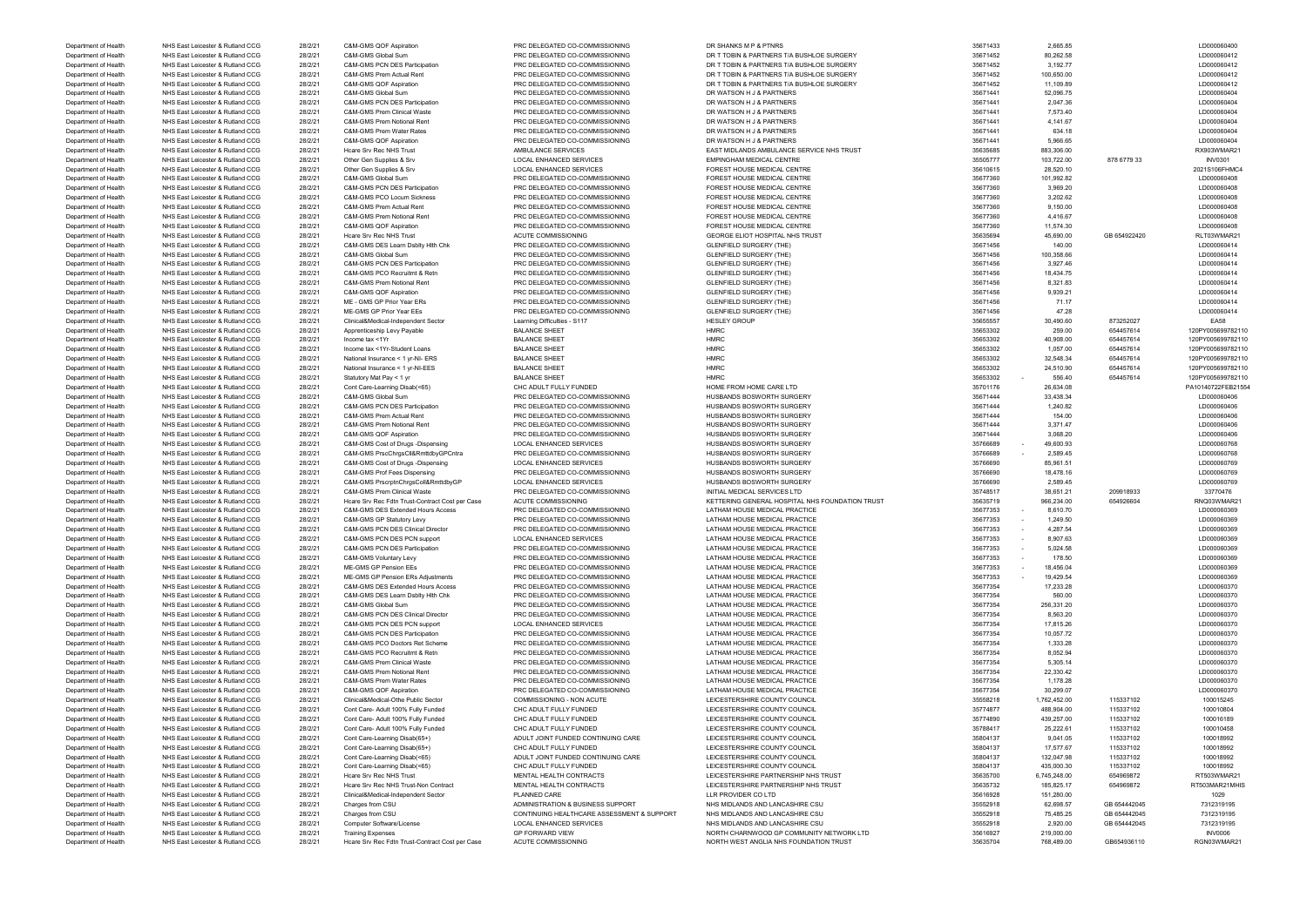| Department of Health | NHS East Leicester & Rutland CCG | 28/2/21 | C&M-GMS Global Sum                              | PRC DELEGATED CO-COMMISSIONING             | DR T TOBIN & PARTNERS T/A BUSHLOE SURGERY       | 35671452 | 80,262.58                                     |              | LD000060412        |
|----------------------|----------------------------------|---------|-------------------------------------------------|--------------------------------------------|-------------------------------------------------|----------|-----------------------------------------------|--------------|--------------------|
| Department of Health | NHS East Leicester & Rutland CCG | 28/2/21 | C&M-GMS PCN DES Participation                   | PRC DELEGATED CO-COMMISSIONING             | DR T TOBIN & PARTNERS T/A BUSHLOE SURGERY       | 35671452 | 3,192.77                                      |              | LD000060412        |
| Department of Health | NHS East Leicester & Rutland CCG | 28/2/21 | C&M-GMS Prem Actual Rent                        | PRC DELEGATED CO-COMMISSIONING             | DR T TOBIN & PARTNERS T/A BUSHLOE SURGERY       | 35671452 | 100,650.00                                    |              | LD000060412        |
| Department of Health | NHS East Leicester & Rutland CCG | 28/2/21 | C&M-GMS QOF Aspiration                          | PRC DELEGATED CO-COMMISSIONING             | DR T TOBIN & PARTNERS T/A BUSHLOE SURGERY       | 35671452 | 11,109.89                                     |              | LD000060412        |
| Department of Health | NHS East Leicester & Rutland CCG | 28/2/21 | C&M-GMS Global Sum                              | PRC DELEGATED CO-COMMISSIONING             | DR WATSON H J & PARTNERS                        | 35671441 | 52,096.75                                     |              | LD000060404        |
| Department of Health | NHS East Leicester & Rutland CCG | 28/2/21 | C&M-GMS PCN DES Participation                   | PRC DELEGATED CO-COMMISSIONING             | DR WATSON H J & PARTNERS                        | 35671441 | 2,047.36                                      |              | LD000060404        |
| Department of Health | NHS East Leicester & Rutland CCG | 28/2/21 | C&M-GMS Prem Clinical Waste                     | PRC DELEGATED CO-COMMISSIONING             | DR WATSON H J & PARTNERS                        | 35671441 | 7,573.40                                      |              | LD000060404        |
|                      |                                  |         |                                                 |                                            |                                                 |          |                                               |              |                    |
| Department of Health | NHS East Leicester & Rutland CCG | 28/2/21 | C&M-GMS Prem Notional Rent                      | PRC DELEGATED CO-COMMISSIONING             | DR WATSON H J & PARTNERS                        | 35671441 | 4,141.67                                      |              | LD000060404        |
| Department of Health | NHS East Leicester & Rutland CCG | 28/2/21 | C&M-GMS Prem Water Rates                        | PRC DELEGATED CO-COMMISSIONING             | DR WATSON H J & PARTNERS                        | 35671441 | 634.18                                        |              | LD000060404        |
| Department of Health | NHS East Leicester & Rutland CCG | 28/2/21 | C&M-GMS QOF Aspiration                          | PRC DELEGATED CO-COMMISSIONING             | DR WATSON H J & PARTNERS                        | 35671441 | 5,966.65                                      |              | LD000060404        |
| Department of Health | NHS East Leicester & Rutland CCG | 28/2/21 | <b>Hcare Srv Rec NHS Trust</b>                  | AMBULANCE SERVICES                         | EAST MIDLANDS AMBULANCE SERVICE NHS TRUST       | 35635685 | 883,306.00                                    |              | RX903WMAR2         |
| Department of Health | NHS East Leicester & Rutland CCG | 28/2/21 | Other Gen Supplies & Srv                        | LOCAL ENHANCED SERVICES                    | <b>EMPINGHAM MEDICAL CENTRE</b>                 | 35505777 | 103,722.00                                    | 878 6779 33  | <b>INV0301</b>     |
| Department of Health | NHS East Leicester & Rutland CCG | 28/2/21 | Other Gen Supplies & Srv                        | LOCAL ENHANCED SERVICES                    | FOREST HOUSE MEDICAL CENTRE                     | 35610615 | 28,520.10                                     |              | 2021S106FHMC       |
| Department of Health | NHS East Leicester & Rutland CCG | 28/2/21 | C&M-GMS Global Sum                              | PRC DELEGATED CO-COMMISSIONING             | FOREST HOUSE MEDICAL CENTRE                     | 35677360 | 101,992.82                                    |              | LD000060408        |
| Department of Health | NHS East Leicester & Rutland CCG | 28/2/21 | <b>C&amp;M-GMS PCN DES Participation</b>        | PRC DELEGATED CO-COMMISSIONING             | FOREST HOUSE MEDICAL CENTRE                     | 35677360 | 3,969.20                                      |              | LD000060408        |
| Department of Health | NHS East Leicester & Rutland CCG | 28/2/21 | C&M-GMS PCO Locum Sickness                      | PRC DELEGATED CO-COMMISSIONING             | FOREST HOUSE MEDICAL CENTRE                     | 35677360 | 3,202.62                                      |              | LD000060408        |
| Department of Health | NHS East Leicester & Rutland CCG | 28/2/21 | C&M-GMS Prem Actual Rent                        | PRC DELEGATED CO-COMMISSIONING             | FOREST HOUSE MEDICAL CENTRE                     | 35677360 | 9,150.00                                      |              | LD000060408        |
|                      |                                  |         |                                                 |                                            |                                                 |          |                                               |              |                    |
| Department of Health | NHS East Leicester & Rutland CCG | 28/2/21 | C&M-GMS Prem Notional Rent                      | PRC DELEGATED CO-COMMISSIONING             | FOREST HOUSE MEDICAL CENTRE                     | 35677360 | 4,416.67                                      |              | LD000060408        |
| Department of Health | NHS East Leicester & Rutland CCG | 28/2/21 | <b>C&amp;M-GMS QOF Aspiration</b>               | PRC DELEGATED CO-COMMISSIONING             | FOREST HOUSE MEDICAL CENTRE                     | 35677360 | 11,574.30                                     |              | LD000060408        |
| Department of Health | NHS East Leicester & Rutland CCG | 28/2/21 | Hcare Srv Rec NHS Trust                         | <b>ACUTE COMMISSIONING</b>                 | GEORGE ELIOT HOSPITAL NHS TRUST                 | 35635694 | 45,690.00                                     | GB 654922420 | RLT03WMAR2         |
| Department of Health | NHS East Leicester & Rutland CCG | 28/2/21 | C&M-GMS DES Learn Dsblty Hlth Chk               | PRC DELEGATED CO-COMMISSIONING             | <b>GLENFIELD SURGERY (THE)</b>                  | 35671456 | 140.00                                        |              | LD000060414        |
| Department of Health | NHS East Leicester & Rutland CCG | 28/2/21 | C&M-GMS Global Sum                              | PRC DELEGATED CO-COMMISSIONING             | <b>GLENFIELD SURGERY (THE)</b>                  | 35671456 | 100,358.66                                    |              | LD000060414        |
| Department of Health | NHS East Leicester & Rutland CCG | 28/2/21 | C&M-GMS PCN DES Participation                   | PRC DELEGATED CO-COMMISSIONING             | <b>GLENFIELD SURGERY (THE)</b>                  | 35671456 | 3,927.46                                      |              | LD000060414        |
| Department of Health | NHS East Leicester & Rutland CCG | 28/2/21 | C&M-GMS PCO Recruitmt & Retn                    | PRC DELEGATED CO-COMMISSIONING             | <b>GLENFIELD SURGERY (THE)</b>                  | 35671456 | 18,434.75                                     |              | LD000060414        |
|                      |                                  |         |                                                 |                                            |                                                 |          |                                               |              |                    |
| Department of Health | NHS East Leicester & Rutland CCG | 28/2/21 | C&M-GMS Prem Notional Rent                      | PRC DELEGATED CO-COMMISSIONING             | <b>GLENFIELD SURGERY (THE)</b>                  | 35671456 | 8,321.83                                      |              | LD000060414        |
| Department of Health | NHS East Leicester & Rutland CCG | 28/2/21 | C&M-GMS QOF Aspiration                          | PRC DELEGATED CO-COMMISSIONING             | <b>GLENFIELD SURGERY (THE)</b>                  | 35671456 | 9,939.21                                      |              | LD000060414        |
| Department of Health | NHS East Leicester & Rutland CCG | 28/2/21 | ME - GMS GP Prior Year ERs                      | PRC DELEGATED CO-COMMISSIONING             | <b>GLENFIELD SURGERY (THE)</b>                  | 35671456 | 71.17                                         |              | LD000060414        |
| Department of Health | NHS East Leicester & Rutland CCG | 28/2/21 | ME-GMS GP Prior Year EEs                        | PRC DELEGATED CO-COMMISSIONING             | <b>GLENFIELD SURGERY (THE)</b>                  | 35671456 | 47.28                                         |              | LD000060414        |
| Department of Health | NHS East Leicester & Rutland CCG | 28/2/21 | Clinical&Medical-Independent Sector             | Learning Difficulties - S117               | <b>HESLEY GROUP</b>                             | 35655557 | 30,490.60                                     | 873252027    | <b>EA58</b>        |
| Department of Health | NHS East Leicester & Rutland CCG | 28/2/21 | Apprenticeship Levy Payable                     | <b>BALANCE SHEET</b>                       | <b>HMRC</b>                                     | 35653302 | 259.00                                        | 654457614    | 120PY005699782110  |
|                      | NHS East Leicester & Rutland CCG | 28/2/21 | Income tax <1Yr                                 | <b>BALANCE SHEET</b>                       | <b>HMRC</b>                                     | 35653302 | 40,908.00                                     | 654457614    | 120PY005699782110  |
| Department of Health |                                  |         |                                                 |                                            |                                                 |          |                                               |              |                    |
| Department of Health | NHS East Leicester & Rutland CCG | 28/2/21 | Income tax <1Yr-Student Loans                   | <b>BALANCE SHEET</b>                       | <b>HMRC</b>                                     | 35653302 | 1,057.00                                      | 654457614    | 120PY005699782110  |
| Department of Health | NHS East Leicester & Rutland CCG | 28/2/21 | National Insurance < 1 vr-NI- ERS               | <b>BALANCE SHEET</b>                       | <b>HMRC</b>                                     | 35653302 | 32,548.34                                     | 654457614    | 120PY005699782110  |
| Department of Health | NHS East Leicester & Rutland CCG | 28/2/21 | National Insurance < 1 yr-NI-EES                | <b>BALANCE SHEET</b>                       | <b>HMRC</b>                                     | 35653302 | 24,510.90                                     | 654457614    | 120PY005699782110  |
| Department of Health | NHS East Leicester & Rutland CCG | 28/2/21 | Statutory Mat Pay < 1 yr                        | <b>BALANCE SHEET</b>                       | <b>HMRC</b>                                     | 35653302 | 556.40                                        | 654457614    | 120PY005699782110  |
| Department of Health | NHS East Leicester & Rutland CCG | 28/2/21 | Cont Care-Learning Disab(<65)                   | CHC ADULT FULLY FUNDED                     | HOME FROM HOME CARE LTD                         | 35701176 | 26,634.08                                     |              | PA10140722FEB21554 |
| Department of Health | NHS East Leicester & Rutland CCG | 28/2/21 | C&M-GMS Global Sum                              | PRC DELEGATED CO-COMMISSIONING             | HUSBANDS BOSWORTH SURGERY                       | 35671444 | 33,438.34                                     |              | LD000060406        |
|                      | NHS East Leicester & Rutland CCG |         | C&M-GMS PCN DES Participation                   |                                            | HUSBANDS BOSWORTH SURGERY                       | 35671444 | 1,240.82                                      |              |                    |
| Department of Health |                                  | 28/2/21 |                                                 | PRC DELEGATED CO-COMMISSIONING             |                                                 |          |                                               |              | LD000060406        |
| Department of Health | NHS East Leicester & Rutland CCG | 28/2/21 | C&M-GMS Prem Actual Rent                        | PRC DELEGATED CO-COMMISSIONING             | HUSBANDS BOSWORTH SURGERY                       | 35671444 | 154.00                                        |              | LD000060406        |
| Department of Health | NHS East Leicester & Rutland CCG | 28/2/21 | C&M-GMS Prem Notional Rent                      | PRC DELEGATED CO-COMMISSIONING             | HUSBANDS BOSWORTH SURGERY                       | 35671444 | 3,371.47                                      |              | LD000060406        |
| Department of Health | NHS East Leicester & Rutland CCG | 28/2/21 | C&M-GMS QOF Aspiration                          | PRC DELEGATED CO-COMMISSIONING             | HUSBANDS BOSWORTH SURGERY                       | 35671444 | 3,068.20                                      |              | LD000060406        |
| Department of Health | NHS East Leicester & Rutland CCG | 28/2/21 | C&M-GMS Cost of Drugs -Dispensing               | LOCAL ENHANCED SERVICES                    | HUSBANDS BOSWORTH SURGERY                       | 35766689 | 49.600.93                                     |              | LD000060768        |
| Department of Health | NHS East Leicester & Rutland CCG | 28/2/21 | C&M-GMS PrscChrgsCll&RmttdbyGPCntra             | PRC DELEGATED CO-COMMISSIONING             | HUSBANDS BOSWORTH SURGERY                       | 35766689 | 2,589.45                                      |              | LD000060768        |
| Department of Health | NHS East Leicester & Rutland CCG | 28/2/21 | C&M-GMS Cost of Drugs -Dispensing               | LOCAL ENHANCED SERVICES                    | HUSBANDS BOSWORTH SURGERY                       | 35766690 | 85,961.51                                     |              | LD000060769        |
| Department of Health | NHS East Leicester & Rutland CCG | 28/2/21 | C&M-GMS Prof Fees Dispensing                    | PRC DELEGATED CO-COMMISSIONING             | HUSBANDS BOSWORTH SURGERY                       | 35766690 | 18,478.16                                     |              | LD000060769        |
|                      |                                  |         |                                                 |                                            |                                                 |          |                                               |              |                    |
| Department of Health | NHS East Leicester & Rutland CCG | 28/2/21 | C&M-GMS PrscrptnChrgsColl&RmttdbyGP             | LOCAL ENHANCED SERVICES                    | HUSBANDS BOSWORTH SURGERY                       | 35766690 | 2,589.45                                      |              | LD000060769        |
| Department of Health | NHS East Leicester & Rutland CCG | 28/2/21 | C&M-GMS Prem Clinical Waste                     | PRC DELEGATED CO-COMMISSIONING             | INITIAL MEDICAL SERVICES LTD                    | 35748517 | 38,651.21                                     | 209918933    | 33770476           |
| Department of Health | NHS East Leicester & Rutland CCG | 28/2/21 | Hoare Srv Rec Fdtn Trust-Contract Cost per Case | ACUTE COMMISSIONING                        | KETTERING GENERAL HOSPITAL NHS FOUNDATION TRUST | 35635719 | 966,234.00                                    | 654926604    | RNQ03WMAR21        |
| Department of Health | NHS East Leicester & Rutland CCG | 28/2/21 | C&M-GMS DES Extended Hours Access               | PRC DELEGATED CO-COMMISSIONING             | LATHAM HOUSE MEDICAL PRACTICE                   | 35677353 | 8,610.70<br>$\sim$                            |              | LD000060369        |
| Department of Health | NHS East Leicester & Rutland CCG | 28/2/21 | C&M-GMS GP Statutory Levy                       | PRC DELEGATED CO-COMMISSIONING             | LATHAM HOUSE MEDICAL PRACTICE                   | 35677353 | 1,249.50                                      |              | LD000060369        |
| Department of Health | NHS East Leicester & Rutland CCG | 28/2/21 | C&M-GMS PCN DES Clinical Director               | PRC DELEGATED CO-COMMISSIONING             | LATHAM HOUSE MEDICAL PRACTICE                   | 35677353 | 4.287.54<br>$\sim$ $-$                        |              | LD000060369        |
| Department of Health | NHS East Leicester & Rutland CCG | 28/2/21 |                                                 | <b>LOCAL ENHANCED SERVICES</b>             | LATHAM HOUSE MEDICAL PRACTICE                   | 35677353 | 8.907.63<br><b>Contract Contract Contract</b> |              | LD000060369        |
|                      |                                  |         | C&M-GMS PCN DES PCN support                     |                                            |                                                 |          |                                               |              |                    |
| Department of Health | NHS East Leicester & Rutland CCG | 28/2/21 | <b>C&amp;M-GMS PCN DES Participation</b>        | PRC DELEGATED CO-COMMISSIONING             | LATHAM HOUSE MEDICAL PRACTICE                   | 35677353 | 5,024.58                                      |              | LD000060369        |
| Department of Health | NHS East Leicester & Rutland CCG | 28/2/21 | <b>C&amp;M-GMS Voluntary Levy</b>               | PRC DELEGATED CO-COMMISSIONING             | LATHAM HOUSE MEDICAL PRACTICE                   | 35677353 | 178.50                                        |              | LD000060369        |
| Department of Health | NHS East Leicester & Rutland CCG | 28/2/21 | ME-GMS GP Pension EEs                           | PRC DELEGATED CO-COMMISSIONING             | LATHAM HOUSE MEDICAL PRACTICE                   | 35677353 | 18,456.04                                     |              | LD000060369        |
| Department of Health | NHS East Leicester & Rutland CCG | 28/2/21 | ME-GMS GP Pension ERs Adiustments               | PRC DELEGATED CO-COMMISSIONING             | LATHAM HOUSE MEDICAL PRACTICE                   | 35677353 | 19,429.54                                     |              | LD000060369        |
| Department of Health | NHS East Leicester & Rutland CCG | 28/2/21 | C&M-GMS DES Extended Hours Access               | PRC DELEGATED CO-COMMISSIONING             | LATHAM HOUSE MEDICAL PRACTICE                   | 35677354 | 17,233.28                                     |              | LD000060370        |
| Department of Health | NHS East Leicester & Rutland CCG | 28/2/21 | C&M-GMS DES Learn Dsblty Hith Chk               | PRC DELEGATED CO-COMMISSIONING             | LATHAM HOUSE MEDICAL PRACTICE                   | 35677354 | 560.00                                        |              | LD000060370        |
| Department of Health | NHS East Leicester & Rutland CCG | 28/2/21 | C&M-GMS Global Sum                              | PRC DELEGATED CO-COMMISSIONING             | LATHAM HOUSE MEDICAL PRACTICE                   | 35677354 | 256,331.20                                    |              | LD000060370        |
| Department of Health | NHS East Leicester & Rutland CCG |         | C&M-GMS PCN DES Clinical Director               | PRC DELEGATED CO-COMMISSIONING             | LATHAM HOUSE MEDICAL PRACTICE                   | 35677354 | 8,563.20                                      |              | LD000060370        |
|                      |                                  | 28/2/21 |                                                 |                                            |                                                 |          |                                               |              |                    |
| Department of Health | NHS East Leicester & Rutland CCG | 28/2/21 | C&M-GMS PCN DES PCN support                     | LOCAL ENHANCED SERVICES                    | LATHAM HOUSE MEDICAL PRACTICE                   | 35677354 | 17,815.26                                     |              | LD000060370        |
| Department of Health | NHS East Leicester & Rutland CCG | 28/2/21 | C&M-GMS PCN DES Participation                   | PRC DELEGATED CO-COMMISSIONING             | LATHAM HOUSE MEDICAL PRACTICE                   | 35677354 | 10,057.72                                     |              | LD000060370        |
| Department of Health | NHS East Leicester & Rutland CCG | 28/2/21 | C&M-GMS PCO Doctors Ret Scheme                  | PRC DELEGATED CO-COMMISSIONING             | LATHAM HOUSE MEDICAL PRACTICE                   | 35677354 | 1,333.28                                      |              | LD000060370        |
| Department of Health | NHS East Leicester & Rutland CCG | 28/2/21 | C&M-GMS PCO Recruitmt & Retn                    | PRC DELEGATED CO-COMMISSIONING             | LATHAM HOUSE MEDICAL PRACTICE                   | 35677354 | 8,052.94                                      |              | LD000060370        |
| Department of Health | NHS East Leicester & Rutland CCG | 28/2/21 | C&M-GMS Prem Clinical Waste                     | PRC DELEGATED CO-COMMISSIONING             | LATHAM HOUSE MEDICAL PRACTICE                   | 35677354 | 5,305.14                                      |              | LD000060370        |
| Department of Health | NHS East Leicester & Rutland CCG | 28/2/21 | C&M-GMS Prem Notional Rent                      | PRC DELEGATED CO-COMMISSIONING             | LATHAM HOUSE MEDICAL PRACTICE                   | 35677354 | 22,330.42                                     |              | LD000060370        |
| Department of Health | NHS East Leicester & Rutland CCG |         | C&M-GMS Prem Water Rates                        | PRC DELEGATED CO-COMMISSIONING             | LATHAM HOUSE MEDICAL PRACTICE                   | 35677354 | 1,178.28                                      |              | LD000060370        |
|                      |                                  | 28/2/21 |                                                 |                                            |                                                 |          |                                               |              |                    |
| Department of Health | NHS East Leicester & Rutland CCG | 28/2/21 | C&M-GMS QOF Aspiration                          | PRC DELEGATED CO-COMMISSIONING             | LATHAM HOUSE MEDICAL PRACTICE                   | 35677354 | 30,299.07                                     |              | LD000060370        |
| Department of Health | NHS East Leicester & Rutland CCG | 28/2/21 | Clinical&Medical-Othe Public Sector             | COMMISSIONING - NON ACUTE                  | LEICESTERSHIRE COUNTY COUNCIL                   | 35558218 | 1,762,452.00                                  | 115337102    | 100015245          |
| Department of Health | NHS East Leicester & Rutland CCG | 28/2/21 | Cont Care- Adult 100% Fully Funded              | CHC ADULT FULLY FUNDED                     | LEICESTERSHIRE COUNTY COUNCIL                   | 35774877 | 488,904.00                                    | 115337102    | 100010804          |
| Department of Health | NHS East Leicester & Rutland CCG | 28/2/21 | Cont Care- Adult 100% Fully Funded              | CHC ADULT FULLY FUNDED                     | LEICESTERSHIRE COUNTY COUNCIL                   | 35774890 | 439,257.00                                    | 115337102    | 100016189          |
| Department of Health | NHS East Leicester & Rutland CCG | 28/2/21 | Cont Care- Adult 100% Fully Funded              | CHC ADULT FULLY FUNDED                     | LEICESTERSHIRE COUNTY COUNCIL                   | 35788417 | 25,222.61                                     | 115337102    | 100010458          |
| Department of Health | NHS East Leicester & Rutland CCG | 28/2/21 | Cont Care-Learning Disab(65+)                   | ADULT JOINT FUNDED CONTINUING CARE         | LEICESTERSHIRE COUNTY COUNCIL                   | 35804137 | 9,041.05                                      | 115337102    | 100018992          |
|                      |                                  |         |                                                 |                                            |                                                 | 35804137 | 17,577.67                                     | 115337102    |                    |
| Department of Health | NHS East Leicester & Rutland CCG | 28/2/21 | Cont Care-Learning Disab(65+)                   | CHC ADULT FULLY FUNDED                     | LEICESTERSHIRE COUNTY COUNCIL                   |          |                                               |              | 100018992          |
| Department of Health | NHS East Leicester & Rutland CCG | 28/2/21 | Cont Care-Learning Disab(<65)                   | ADULT JOINT FUNDED CONTINUING CARE         | LEICESTERSHIRE COUNTY COUNCIL                   | 35804137 | 132,047.98                                    | 115337102    | 100018992          |
| Department of Health | NHS East Leicester & Rutland CCG | 28/2/21 | Cont Care-Learning Disab(<65)                   | CHC ADULT FULLY FUNDED                     | LEICESTERSHIRE COUNTY COUNCIL                   | 35804137 | 435,000.30                                    | 115337102    | 100018992          |
| Department of Health | NHS East Leicester & Rutland CCG | 28/2/21 | Hcare Srv Rec NHS Trust                         | MENTAL HEALTH CONTRACTS                    | LEICESTERSHIRE PARTNERSHIP NHS TRUST            | 35635700 | 6,745,248.00                                  | 654969872    | RT503WMAR2         |
| Department of Health | NHS East Leicester & Rutland CCG | 28/2/21 | Hcare Srv Rec NHS Trust-Non Contract            | MENTAL HEALTH CONTRACTS                    | LEICESTERSHIRE PARTNERSHIP NHS TRUST            | 35635732 | 185,825.17                                    | 654969872    | RT503MAR21MHIS     |
| Department of Health | NHS East Leicester & Rutland CCG | 28/2/21 | Clinical&Medical-Independent Sector             | PLANNED CARE                               | LLR PROVIDER CO LTD                             | 35616928 | 151,280.00                                    |              | 1029               |
| Department of Health | NHS East Leicester & Rutland CCG | 28/2/21 | Charges from CSU                                | ADMINISTRATION & BUSINESS SUPPORT          | NHS MIDLANDS AND LANCASHIRE CSU                 | 35552918 | 62,698.57                                     | GB 654442045 | 7312319195         |
|                      |                                  |         |                                                 |                                            |                                                 |          |                                               |              |                    |
| Department of Health | NHS East Leicester & Rutland CCG | 28/2/21 | Charges from CSU                                | CONTINUING HEALTHCARE ASSESSMENT & SUPPORT | NHS MIDLANDS AND LANCASHIRE CSU                 | 35552918 | 75,485.25                                     | GB 654442045 | 7312319195         |
| Department of Health | NHS East Leicester & Rutland CCG | 28/2/21 | Computer Software/License                       | LOCAL ENHANCED SERVICES                    | NHS MIDLANDS AND LANCASHIRE CSU                 | 35552918 | 2,920.00                                      | GB 654442045 | 7312319195         |
| Department of Health | NHS East Leicester & Rutland CCG | 28/2/21 | <b>Training Expenses</b>                        | <b>GP FORWARD VIEW</b>                     | NORTH CHARNWOOD GP COMMUNITY NETWORK LTD        | 35616927 | 219,000.00                                    |              | <b>INV0006</b>     |
| Department of Health | NHS East Leicester & Rutland CCG | 28/2/21 | Hcare Srv Rec Fdtn Trust-Contract Cost per Case | <b>ACUTE COMMISSIONING</b>                 | NORTH WEST ANGLIA NHS FOUNDATION TRUST          | 35635704 | 768,489.00                                    | GB654936110  | RGN03WMAR21        |
|                      |                                  |         |                                                 |                                            |                                                 |          |                                               |              |                    |